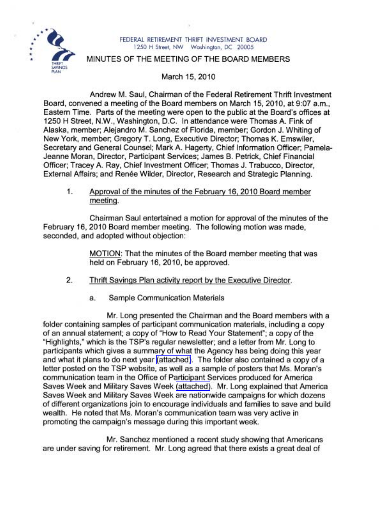

## FEDERAL RETIREMENT THRIFT INVESTMENT BOARD 1250 H Street, NW Washington, DC 20005

## MINUTES OF THE MEETING OF THE BOARD MEMBERS

March 15,2010

Andrew M. Saul, Chairman of the Federal Retirement Thrift Investment Board, convened a meeting of the Board members on March 15,2010, at 9:07 a.m., Eastern Time. Parts of the meeting were open to the public at the Board's offices at 1250 H Street, N.W., Washington, D.C. In attendance'were Thomas A. Fink of Alaska, member; Alejandro M. Sanchez of Florida, member; Gordon J. Whiting of New York, member; Gregory T. Long, Executive Director; Thomas K. Emswiler, Secretary and General Counsel; Mark A. Hagerty, Chief Information Officer; Pamela-Jeanne Moran, Director, Participant Services; James B. Petrick, Chief Financial Officer; Tracey A. Ray, Chief Investment Officer; Thomas J. Trabucco, Director, External Affairs; and Renée Wilder, Director, Research and Strategic Planning.

1. Approval of the minutes of the February 16, 2010 Board member meeting.

Chairman Saul entertained a motion for approval of the minutes of the February 16, 2010 Board member meeting. The following motion was made, seconded, and adopted without objection:

> MOTION: That the minutes of the Board member meeting that was held on February 16, 2010, be approved.

- 2. Thrift Savings Plan activity report by the Executive Director.
	- a. Sample Communication Materials

Mr. Long presented the Chairman and the Board members with a folder containing samples of participant communication materials, including a copy of an annual statement; a copy of "How to Read Your Statement"; a copy of the "Highlights," which is the TSP's regular newsletter; and a letter from Mr. Long to participants which gives a summary of what the Agency has being doing this year and what it plans to do next year [\(attached\).](http://www.frtib.gov/pdf/minutes/MM-2010Mar-Att1.pdf) The folder also contained a copy of a letter posted on the TSP website, as well as a sample of posters that Ms. Moran's communication team in the Office of Participant Services produced for America Saves Week and Military Saves Week [\(attached\)](http://www.frtib.gov/pdf/minutes/MM-2010Mar-Att1.pdf). Mr. Long explained that America Saves Week and Military Saves Week are nationwide campaigns for which dozens of different organizations join to encourage individuals and families to save and build wealth. He noted that Ms. Moran's communication team was very active in promoting the campaign's message during this important week.

Mr. Sanchez mentioned a recent study showing that Americans are under saving for retirement. Mr. Long agreed that there exists a great deal of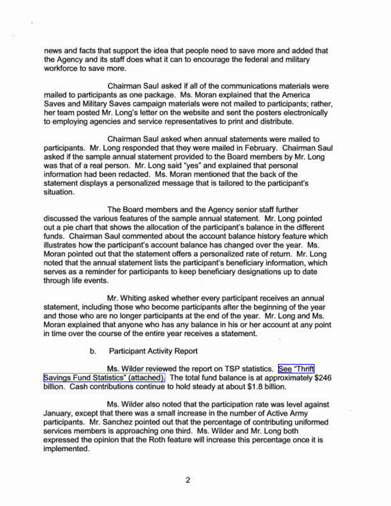news and facts that support the idea that people need to save more and added that the Agency and its staff does what it can to encourage the federal and military workforce to save more.

٠

Chairman Saul asked if all of the communications materials were mailed to participants as one package. Ms. Moran explained that the America Saves and Military Saves campaign materials were not mailed to participants; rather, her team posted Mr. Long's letter on the website and sent the posters electronically to employing agencies and service representatives to print and distribute.

Chairman Saul asked when annual statements were mailed to participants. Mr. Long responded that they were mailed in February. Chairman Saul asked if the sample annual statement provided to the Board members by Mr. Long was that of a real person. Mr. Long said "yes" and explained that personal information had been redacted. Ms. Moran mentioned that the back of the statement displays a personalized message that is tailored to the participant's situation.

The Board members and the Agency senior staff further discussed the various features of the sample annual statement. Mr. Long pointed out a pie chart that shows the allocation of the participant's balance in the different funds. Chairman Saul commented about the account balance history feature which illustrates how the participant's account balance has changed over the year. Ms. Moran pointed out that the statement offers a personalized rate of return. Mr. Long noted that the annual statement lists the participant's beneficiary information, which serves as a reminder for participants to keep beneficiary designations up to date through life events.

Mr. Whiting asked whether every participant receives an annual statement, including those who become participants after the beginning of the year and those who are no longer participants at the end of the year. Mr. Long and Ms. Moran explained that anyone who has any balance in his or her account at any point in time over the course of the entire year receives a statement.

b. Participant Activity Report

Ms. Wilder reviewed the report on TSP statistics. See ["Thrift](http://www.frtib.gov/pdf/minutes/MM-2010Mar-Att2.pdf) Savings Fund Statistics" [\(attached\).](http://www.frtib.gov/pdf/minutes/MM-2010Mar-Att2.pdf) The total fund balance is at approximately \$246 billion. Cash contributions continue to hold steady at about \$1.8 billion.

Ms. Wilder also noted that the participation rate was level against January, except that there was a small increase in the number of Active Army participants. Mr. Sanchez pointed out that the percentage of contributing uniformed services members is approaching one third. Ms. Wilder and Mr. Long both expressed the opinion that the Roth feature will increase this percentage once it is implemented.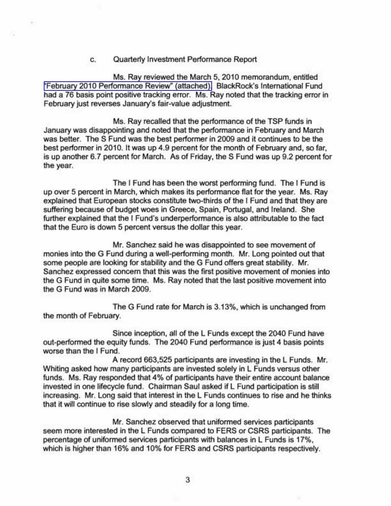c. Quarterly Investment Performance Report

Ms. Ray reviewed the March 5, 2010 memorandum, entitled "February 2010 [Performance](http://www.frtib.gov/pdf/minutes/MM-2010Mar-Att3.pdf) Review" (attached). BlackRock's International Fund had a 76 basis point positive tracking error. Ms. Ray noted that the tracking error in February just reverses January's fair-value adjustment.

Ms. Ray recalled that the performance of the TSP funds in January was disappointing and noted that the performance in February and March was better. The S Fund was the best performer in 2009 and it continues to be the best performer in 2010. It was up 4.9 percent for the month of February and, so far, is up another 6.7 percent for March. As of Friday, the S Fund was up 9.2 percent for the year.

The I Fund has been the worst performing fund. The I Fund is up over 5 percent in March, which makes its performance flat for the year. Ms. Ray explained that European stocks constitute two-thirds of the I Fund and that they are suffering because of budget woes in Greece, Spain, Portugal, and Ireland. She further explained that the I Fund's underperformance is also attributable to the fact that the Euro is down 5 percent versus the dollar this year.

Mr. Sanchez said he was disappointed to see movement of monies into the G Fund during a well-performing month. Mr. Long pointed out that some people are looking for stability and the G Fund offers great stability. Mr. Sanchez expressed concern that this was the first positive movement of monies into the G Fund in quite some time. Ms. Ray noted that the last positive movement into the G Fund was in March 2009.

The G Fund rate for March is 3.13%, which is unchanged from the month of February.

Since inception, all of the L Funds except the 2040 Fund have out-performed the equity funds. The 2040 Fund performance is just 4 basis points worse than the I Fund.

A record 663,525 participants are investing in the L Funds. Mr. Whiting asked how many participants are invested solely in L Funds versus other funds. Ms. Ray responded that 4% of participants have their entire account balance invested in one lifecycle fund. Chairman Saul asked if L Fund participation is still increasing. Mr. Long said that interest in the L Funds continues to rise and he thinks that it will continue to rise slowly and steadily for a long time.

Mr. Sanchez observed that uniformed services participants seem more interested in the L Funds compared to FERS or CSRS participants. The percentage of uniformed services participants with balances in L Funds is 17%, which is higher than 16% and 10% for FERS and CSRS participants respectively.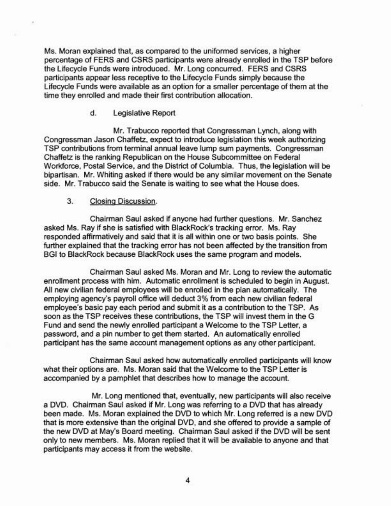Ms. Moran explained that, as compared to the uniformed services, a higher percentage of FERS and CSRS participants were already enrolled in the TSP before the Lifecycle Funds were introduced. Mr. Long concurred. FERS and CSRS participants appear less receptive to the Lifecycle Funds simply because the Lifecycle Funds were available as an option for a smaller percentage of them at the time they enrolled and made their first contribution allocation.

d. Legislative Report

Mr. Trabucco reported that Congressman Lynch, along with Congressman Jason Chaffetz, expect to introduce legislation this week authorizing TSP contributions from terminal annual leave lump sum payments. Congressman Chaffetz is the ranking Republican on the House Subcommittee on Federal Workforce, Postal Service, and the District of Columbia. Thus, the legislation will be bipartisan. Mr. Whiting asked if there would be any similar movement on the Senate side. Mr. Trabucco said the Senate is waiting to see what the House does.

## 3. Closing Discussion.

Chairman Saul asked if anyone had further questions. Mr. Sanchez asked Ms. Ray if she is satisfied with BlackRock's tracking error. Ms. Ray responded affirmatively and said that it is all within one or two basis points. She further explained that the tracking error has not been affected by the transition from BGI to BlackRock because BlackRock uses the same program and models.

Chairman Saul asked Ms. Moran and Mr. Long to review the automatic enrollment process with him. Automatic enrollment is scheduled to begin in August. All new civilian federal employees will be enrolled in the plan automatically. The employing agency's payroll office will deduct 3% from each new civilian federal employee's basic pay each period and submit it as a contribution to the TSP. As soon as the TSP receives these contributions, the TSP will invest them in the G Fund and send the newly enrolled participant a Welcome to the TSP Letter, a password, and a pin number to get them started. An automatically enrolled participant has the same account management options as any other participant.

Chairman Saul asked how automatically enrolled participants will know what their options are. Ms. Moran said that the Welcome to the TSP Letter is accompanied by a pamphlet that describes how to manage the account.

Mr. Long mentioned that, eventually, new participants will also receive a DVD. Chairman Saul asked if Mr. Long was referring to a DVD that has already been made. Ms. Moran explained the DVD to which Mr. Long referred is a new DVD that is more extensive than the original DVD, and she offered to provide a sample of the new DVD at May's Board meeting. Chairman Saul asked if the DVD will be sent only to new members. Ms. Moran replied that it will be available to anyone and that participants may access it from the website.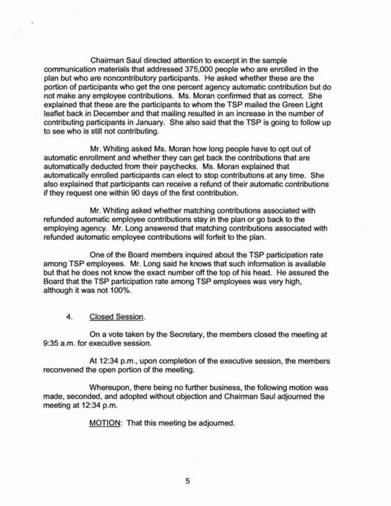Chairman Saul directed attention to excerpt in the sample communication materials that addressed 375,000 people who are enrolled in the plan but who are noncontributory participants. He asked whether these are the portion of participants who get the one percent agency automatic contribution but do not make any employee contributions. Ms. Moran confirmed that as correct. She explained that these are the participants to whom the TSP mailed the Green Light leaflet back in December and that mailing resulted in an increase in the number of contributing participants in January. She also said that the TSP is going to follow up to see who is still not contributing.

Mr. Whiting asked Ms. Moran how long people have to opt out of automatic enrollment and whether they can get back the contributions that are automatically deducted from their paychecks. Ms. Moran explained that automatically enrolled participants can elect to stop contributions at any time. She also explained that participants can receive a refund of their automatic contributions if they request one within 90 days of the first contribution.

Mr. Whiting asked whether matching contributions associated with refunded automatic employee contributions stay in the plan or go back to the employing agency. Mr. Long answered that matching contributions associated with refunded automatic employee contributions will forfeit to the plan.

One of the Board members inquired about the TSP participation rate among TSP employees. Mr. Long said he knows that such information is available but that he does not know the exact number off the top of his head. He assured the Board that the TSP participation rate among TSP employees was very high, although it was not 100%.

4. Closed Session.

On a vote taken by the Secretary, the members closed the meeting at 9:35 a.m. for executive session.

At 12:34 p.m., upon completion of the executive session, the members reconvened the open portion of the meeting.

Whereupon, there being no further business, the following motion was made, seconded, and adopted without objection and Chairman Saul adjourned the meeting at 12:34 p.m.

MOTION: That this meeting be adjourned.